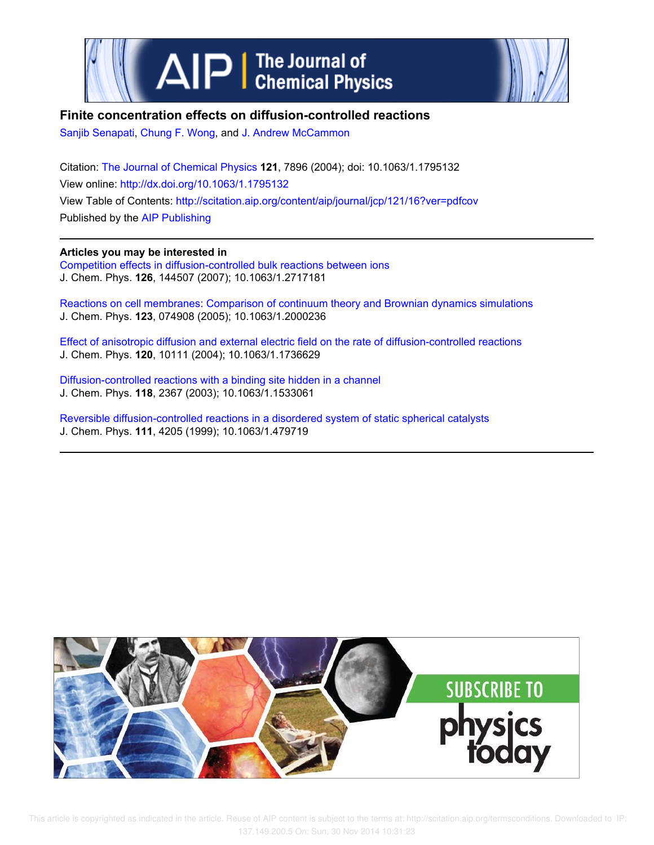



## **Finite concentration effects on diffusion-controlled reactions**

Sanjib Senapati, Chung F. Wong, and J. Andrew McCammon

Citation: The Journal of Chemical Physics **121**, 7896 (2004); doi: 10.1063/1.1795132 View online: http://dx.doi.org/10.1063/1.1795132 View Table of Contents: http://scitation.aip.org/content/aip/journal/jcp/121/16?ver=pdfcov Published by the AIP Publishing

### **Articles you may be interested in**

Competition effects in diffusion-controlled bulk reactions between ions J. Chem. Phys. **126**, 144507 (2007); 10.1063/1.2717181

Reactions on cell membranes: Comparison of continuum theory and Brownian dynamics simulations J. Chem. Phys. **123**, 074908 (2005); 10.1063/1.2000236

Effect of anisotropic diffusion and external electric field on the rate of diffusion-controlled reactions J. Chem. Phys. **120**, 10111 (2004); 10.1063/1.1736629

Diffusion-controlled reactions with a binding site hidden in a channel J. Chem. Phys. **118**, 2367 (2003); 10.1063/1.1533061

Reversible diffusion-controlled reactions in a disordered system of static spherical catalysts J. Chem. Phys. **111**, 4205 (1999); 10.1063/1.479719

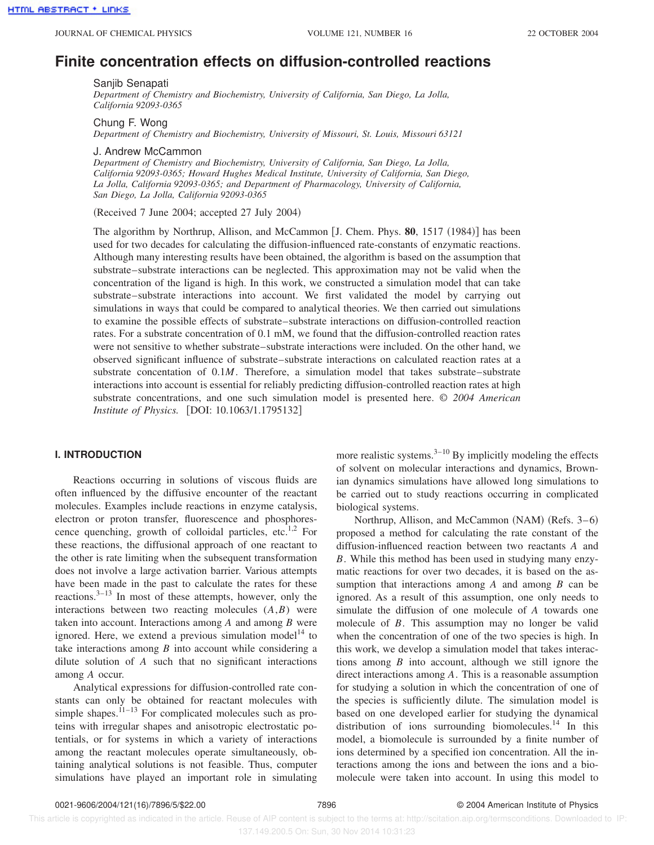# **Finite concentration effects on diffusion-controlled reactions**

Sanjib Senapati

*Department of Chemistry and Biochemistry, University of California, San Diego, La Jolla, California 92093-0365*

Chung F. Wong *Department of Chemistry and Biochemistry, University of Missouri, St. Louis, Missouri 63121*

J. Andrew McCammon

*Department of Chemistry and Biochemistry, University of California, San Diego, La Jolla, California 92093-0365; Howard Hughes Medical Institute, University of California, San Diego, La Jolla, California 92093-0365; and Department of Pharmacology, University of California, San Diego, La Jolla, California 92093-0365*

 $(Received 7 June 2004; accepted 27 July 2004)$ 

The algorithm by Northrup, Allison, and McCammon [J. Chem. Phys. **80**, 1517 (1984)] has been used for two decades for calculating the diffusion-influenced rate-constants of enzymatic reactions. Although many interesting results have been obtained, the algorithm is based on the assumption that substrate–substrate interactions can be neglected. This approximation may not be valid when the concentration of the ligand is high. In this work, we constructed a simulation model that can take substrate–substrate interactions into account. We first validated the model by carrying out simulations in ways that could be compared to analytical theories. We then carried out simulations to examine the possible effects of substrate–substrate interactions on diffusion-controlled reaction rates. For a substrate concentration of 0.1 mM, we found that the diffusion-controlled reaction rates were not sensitive to whether substrate–substrate interactions were included. On the other hand, we observed significant influence of substrate–substrate interactions on calculated reaction rates at a substrate concentation of 0.1*M*. Therefore, a simulation model that takes substrate–substrate interactions into account is essential for reliably predicting diffusion-controlled reaction rates at high substrate concentrations, and one such simulation model is presented here. © *2004 American Institute of Physics.* [DOI: 10.1063/1.1795132]

#### **I. INTRODUCTION**

Reactions occurring in solutions of viscous fluids are often influenced by the diffusive encounter of the reactant molecules. Examples include reactions in enzyme catalysis, electron or proton transfer, fluorescence and phosphorescence quenching, growth of colloidal particles, etc.<sup>1,2</sup> For these reactions, the diffusional approach of one reactant to the other is rate limiting when the subsequent transformation does not involve a large activation barrier. Various attempts have been made in the past to calculate the rates for these reactions. $3-13$  In most of these attempts, however, only the interactions between two reacting molecules (*A*,*B*) were taken into account. Interactions among *A* and among *B* were ignored. Here, we extend a previous simulation model<sup>14</sup> to take interactions among  $B$  into account while considering a dilute solution of *A* such that no significant interactions among *A* occur.

Analytical expressions for diffusion-controlled rate constants can only be obtained for reactant molecules with simple shapes. $11-13$  For complicated molecules such as proteins with irregular shapes and anisotropic electrostatic potentials, or for systems in which a variety of interactions among the reactant molecules operate simultaneously, obtaining analytical solutions is not feasible. Thus, computer simulations have played an important role in simulating more realistic systems. $3-10$  By implicitly modeling the effects of solvent on molecular interactions and dynamics, Brownian dynamics simulations have allowed long simulations to be carried out to study reactions occurring in complicated biological systems.

Northrup, Allison, and McCammon  $(NAM)$  (Refs. 3–6) proposed a method for calculating the rate constant of the diffusion-influenced reaction between two reactants *A* and *B*. While this method has been used in studying many enzymatic reactions for over two decades, it is based on the assumption that interactions among *A* and among *B* can be ignored. As a result of this assumption, one only needs to simulate the diffusion of one molecule of *A* towards one molecule of *B*. This assumption may no longer be valid when the concentration of one of the two species is high. In this work, we develop a simulation model that takes interactions among *B* into account, although we still ignore the direct interactions among *A*. This is a reasonable assumption for studying a solution in which the concentration of one of the species is sufficiently dilute. The simulation model is based on one developed earlier for studying the dynamical distribution of ions surrounding biomolecules.<sup>14</sup> In this model, a biomolecule is surrounded by a finite number of ions determined by a specified ion concentration. All the interactions among the ions and between the ions and a biomolecule were taken into account. In using this model to

 This article is copyrighted as indicated in the article. Reuse of AIP content is subject to the terms at: http://scitation.aip.org/termsconditions. Downloaded to IP: 137.149.200.5 On: Sun, 30 Nov 2014 10:31:23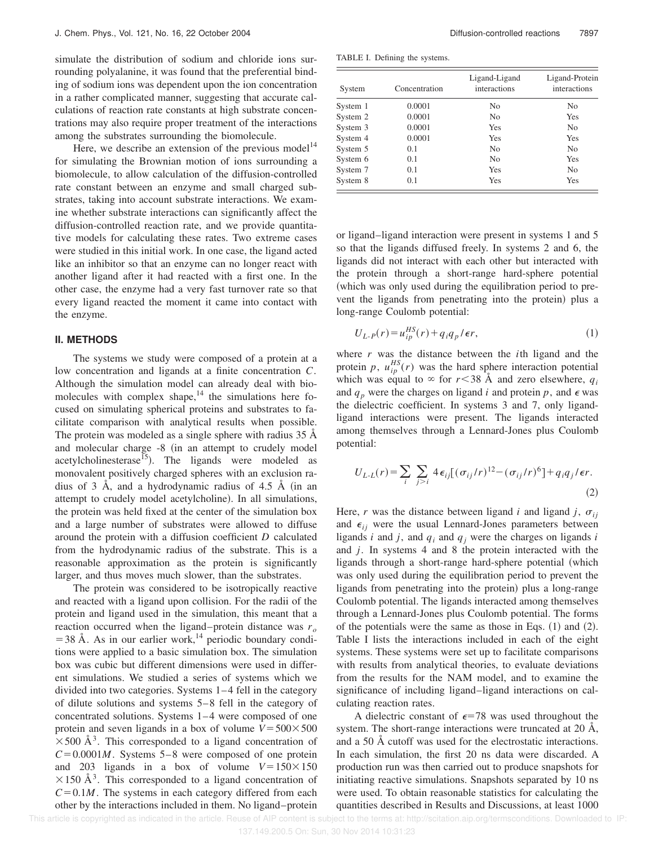simulate the distribution of sodium and chloride ions surrounding polyalanine, it was found that the preferential binding of sodium ions was dependent upon the ion concentration in a rather complicated manner, suggesting that accurate calculations of reaction rate constants at high substrate concentrations may also require proper treatment of the interactions among the substrates surrounding the biomolecule.

Here, we describe an extension of the previous model<sup>14</sup> for simulating the Brownian motion of ions surrounding a biomolecule, to allow calculation of the diffusion-controlled rate constant between an enzyme and small charged substrates, taking into account substrate interactions. We examine whether substrate interactions can significantly affect the diffusion-controlled reaction rate, and we provide quantitative models for calculating these rates. Two extreme cases were studied in this initial work. In one case, the ligand acted like an inhibitor so that an enzyme can no longer react with another ligand after it had reacted with a first one. In the other case, the enzyme had a very fast turnover rate so that every ligand reacted the moment it came into contact with the enzyme.

#### **II. METHODS**

The systems we study were composed of a protein at a low concentration and ligands at a finite concentration *C*. Although the simulation model can already deal with biomolecules with complex shape, $14$  the simulations here focused on simulating spherical proteins and substrates to facilitate comparison with analytical results when possible. The protein was modeled as a single sphere with radius 35 Å and molecular charge  $-8$  (in an attempt to crudely model acetylcholinesterase $^{15}$ ). The ligands were modeled as monovalent positively charged spheres with an exclusion radius of  $3$  Å, and a hydrodynamic radius of  $4.5$  Å (in an attempt to crudely model acetylcholine). In all simulations, the protein was held fixed at the center of the simulation box and a large number of substrates were allowed to diffuse around the protein with a diffusion coefficient *D* calculated from the hydrodynamic radius of the substrate. This is a reasonable approximation as the protein is significantly larger, and thus moves much slower, than the substrates.

The protein was considered to be isotropically reactive and reacted with a ligand upon collision. For the radii of the protein and ligand used in the simulation, this meant that a reaction occurred when the ligand–protein distance was *r<sup>o</sup>*  $=$  38 Å. As in our earlier work,<sup>14</sup> periodic boundary conditions were applied to a basic simulation box. The simulation box was cubic but different dimensions were used in different simulations. We studied a series of systems which we divided into two categories. Systems 1–4 fell in the category of dilute solutions and systems 5–8 fell in the category of concentrated solutions. Systems 1–4 were composed of one protein and seven ligands in a box of volume  $V = 500 \times 500$  $\times$  500 Å<sup>3</sup>. This corresponded to a ligand concentration of  $C=0.0001M$ . Systems 5–8 were composed of one protein and 203 ligands in a box of volume  $V=150\times150$  $\times$ 150 Å<sup>3</sup>. This corresponded to a ligand concentration of  $C=0.1M$ . The systems in each category differed from each other by the interactions included in them. No ligand–protein

TABLE I. Defining the systems.

| System   | Concentration | Ligand-Ligand<br>interactions | Ligand-Protein<br>interactions |
|----------|---------------|-------------------------------|--------------------------------|
| System 1 | 0.0001        | No.                           | No                             |
| System 2 | 0.0001        | No.                           | <b>Yes</b>                     |
| System 3 | 0.0001        | Yes                           | N <sub>0</sub>                 |
| System 4 | 0.0001        | Yes                           | Yes                            |
| System 5 | 0.1           | N <sub>0</sub>                | N <sub>0</sub>                 |
| System 6 | 0.1           | N <sub>0</sub>                | Yes                            |
| System 7 | 0.1           | Yes                           | N <sub>0</sub>                 |
| System 8 | 0.1           | Yes                           | Yes                            |

or ligand–ligand interaction were present in systems 1 and 5 so that the ligands diffused freely. In systems 2 and 6, the ligands did not interact with each other but interacted with the protein through a short-range hard-sphere potential (which was only used during the equilibration period to prevent the ligands from penetrating into the protein) plus a long-range Coulomb potential:

$$
U_{L-P}(r) = u_{ip}^{HS}(r) + q_i q_p / \epsilon r,
$$
\n(1)

where *r* was the distance between the *i*th ligand and the protein *p*,  $u_{ip}^{HS}(r)$  was the hard sphere interaction potential which was equal to  $\infty$  for  $r$  < 38 Å and zero elsewhere,  $q_i$ and  $q_p$  were the charges on ligand *i* and protein *p*, and  $\epsilon$  was the dielectric coefficient. In systems 3 and 7, only ligandligand interactions were present. The ligands interacted among themselves through a Lennard-Jones plus Coulomb potential:

$$
U_{L\text{-}L}(r) = \sum_{i} \sum_{j>i} 4\epsilon_{ij} [(\sigma_{ij}/r)^{12} - (\sigma_{ij}/r)^{6}] + q_{i}q_{j}/\epsilon r.
$$
\n(2)

Here, *r* was the distance between ligand *i* and ligand *j*,  $\sigma_{ii}$ and  $\epsilon_{ii}$  were the usual Lennard-Jones parameters between ligands *i* and *j*, and  $q_i$  and  $q_j$  were the charges on ligands *i* and *j*. In systems 4 and 8 the protein interacted with the ligands through a short-range hard-sphere potential (which was only used during the equilibration period to prevent the ligands from penetrating into the protein) plus a long-range Coulomb potential. The ligands interacted among themselves through a Lennard-Jones plus Coulomb potential. The forms of the potentials were the same as those in Eqs.  $(1)$  and  $(2)$ . Table I lists the interactions included in each of the eight systems. These systems were set up to facilitate comparisons with results from analytical theories, to evaluate deviations from the results for the NAM model, and to examine the significance of including ligand–ligand interactions on calculating reaction rates.

A dielectric constant of  $\epsilon$ =78 was used throughout the system. The short-range interactions were truncated at 20 Å, and a 50 Å cutoff was used for the electrostatic interactions. In each simulation, the first 20 ns data were discarded. A production run was then carried out to produce snapshots for initiating reactive simulations. Snapshots separated by 10 ns were used. To obtain reasonable statistics for calculating the quantities described in Results and Discussions, at least 1000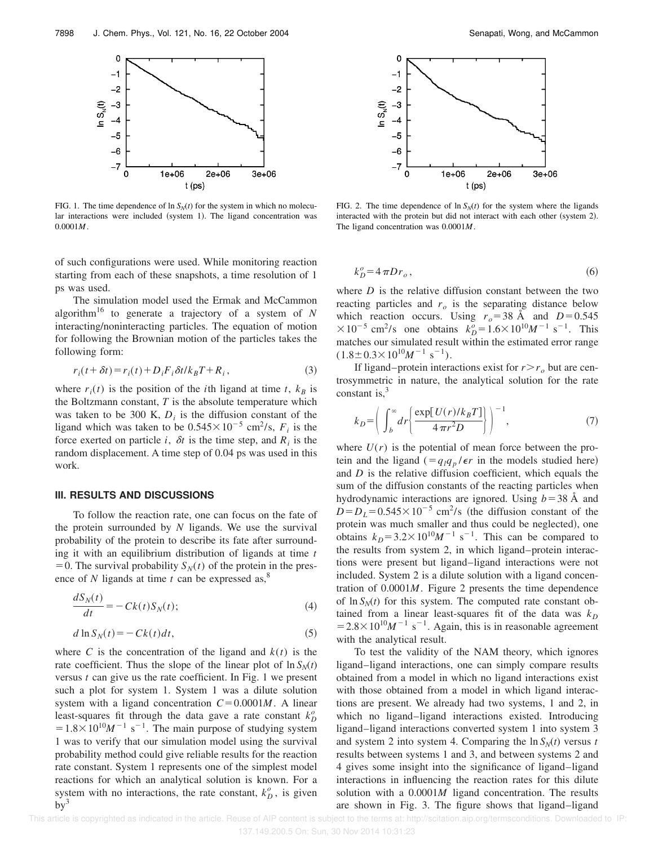

FIG. 1. The time dependence of  $\ln S_N(t)$  for the system in which no molecular interactions were included (system 1). The ligand concentration was 0.0001*M*.

of such configurations were used. While monitoring reaction starting from each of these snapshots, a time resolution of 1 ps was used.

The simulation model used the Ermak and McCammon algorithm<sup>16</sup> to generate a trajectory of a system of  $N$ interacting/noninteracting particles. The equation of motion for following the Brownian motion of the particles takes the following form:

$$
r_i(t+\delta t) = r_i(t) + D_i F_i \delta t / k_B T + R_i, \qquad (3)
$$

where  $r_i(t)$  is the position of the *i*th ligand at time *t*,  $k_B$  is the Boltzmann constant, *T* is the absolute temperature which was taken to be 300 K,  $D_i$  is the diffusion constant of the ligand which was taken to be  $0.545 \times 10^{-5}$  cm<sup>2</sup>/s,  $F_i$  is the force exerted on particle *i*,  $\delta t$  is the time step, and  $R_i$  is the random displacement. A time step of 0.04 ps was used in this work.

#### **III. RESULTS AND DISCUSSIONS**

To follow the reaction rate, one can focus on the fate of the protein surrounded by *N* ligands. We use the survival probability of the protein to describe its fate after surrounding it with an equilibrium distribution of ligands at time *t* = 0. The survival probability  $S_N(t)$  of the protein in the presence of  $N$  ligands at time  $t$  can be expressed as,<sup>8</sup>

$$
\frac{dS_N(t)}{dt} = -Ck(t)S_N(t);
$$
\n(4)

$$
d \ln S_N(t) = -Ck(t)dt,\t\t(5)
$$

where *C* is the concentration of the ligand and  $k(t)$  is the rate coefficient. Thus the slope of the linear plot of  $\ln S_N(t)$ versus *t* can give us the rate coefficient. In Fig. 1 we present such a plot for system 1. System 1 was a dilute solution system with a ligand concentration  $C=0.0001M$ . A linear least-squares fit through the data gave a rate constant  $k_D^o$  $=1.8\times10^{10}M^{-1}$  s<sup>-1</sup>. The main purpose of studying system 1 was to verify that our simulation model using the survival probability method could give reliable results for the reaction rate constant. System 1 represents one of the simplest model reactions for which an analytical solution is known. For a system with no interactions, the rate constant,  $k_D^o$ , is given  $by<sup>3</sup>$ 



FIG. 2. The time dependence of  $\ln S_N(t)$  for the system where the ligands interacted with the protein but did not interact with each other (system 2). The ligand concentration was 0.0001*M*.

$$
k_D^o = 4\pi D r_o \,,\tag{6}
$$

where *D* is the relative diffusion constant between the two reacting particles and  $r<sub>o</sub>$  is the separating distance below which reaction occurs. Using  $r_o = 38 \text{ Å}$  and  $D = 0.545$  $\times 10^{-5}$  cm<sup>2</sup>/s one obtains  $k_D^{\circ} = 1.6 \times 10^{10} M^{-1}$  s<sup>-1</sup>. This matches our simulated result within the estimated error range  $(1.8\pm0.3\times10^{10}M^{-1} \text{ s}^{-1}).$ 

If ligand–protein interactions exist for  $r > r_o$  but are centrosymmetric in nature, the analytical solution for the rate constant is, $3\overline{3}$ 

$$
k_D = \left( \int_b^{\infty} dr \left( \frac{\exp[U(r)/k_B T]}{4 \pi r^2 D} \right) \right)^{-1}, \tag{7}
$$

where  $U(r)$  is the potential of mean force between the protein and the ligand  $\left(-\frac{q}{q} \right)$   $\epsilon r$  in the models studied here) and *D* is the relative diffusion coefficient, which equals the sum of the diffusion constants of the reacting particles when hydrodynamic interactions are ignored. Using  $b=38$  Å and  $D = D_L = 0.545 \times 10^{-5}$  cm<sup>2</sup>/s (the diffusion constant of the protein was much smaller and thus could be neglected), one obtains  $k_D = 3.2 \times 10^{10} M^{-1}$  s<sup>-1</sup>. This can be compared to the results from system 2, in which ligand–protein interactions were present but ligand–ligand interactions were not included. System 2 is a dilute solution with a ligand concentration of 0.0001*M*. Figure 2 presents the time dependence of  $\ln S_N(t)$  for this system. The computed rate constant obtained from a linear least-squares fit of the data was  $k_D$  $=2.8\times10^{10}M^{-1}$  s<sup>-1</sup>. Again, this is in reasonable agreement with the analytical result.

To test the validity of the NAM theory, which ignores ligand–ligand interactions, one can simply compare results obtained from a model in which no ligand interactions exist with those obtained from a model in which ligand interactions are present. We already had two systems, 1 and 2, in which no ligand–ligand interactions existed. Introducing ligand–ligand interactions converted system 1 into system 3 and system 2 into system 4. Comparing the  $\ln S_N(t)$  versus *t* results between systems 1 and 3, and between systems 2 and 4 gives some insight into the significance of ligand–ligand interactions in influencing the reaction rates for this dilute solution with a  $0.0001M$  ligand concentration. The results are shown in Fig. 3. The figure shows that ligand–ligand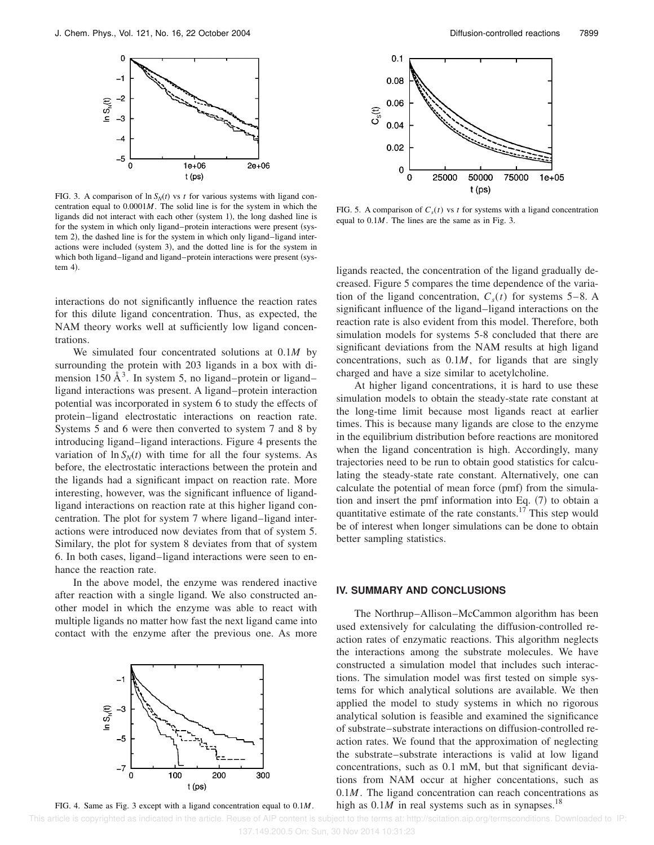

FIG. 3. A comparison of  $\ln S_N(t)$  vs *t* for various systems with ligand concentration equal to 0.0001*M*. The solid line is for the system in which the ligands did not interact with each other  $(s$ ystem 1), the long dashed line is for the system in which only ligand–protein interactions were present (system 2), the dashed line is for the system in which only ligand–ligand interactions were included (system 3), and the dotted line is for the system in which both ligand–ligand and ligand–protein interactions were present (sys $tem$  4).

interactions do not significantly influence the reaction rates for this dilute ligand concentration. Thus, as expected, the NAM theory works well at sufficiently low ligand concentrations.

We simulated four concentrated solutions at 0.1*M* by surrounding the protein with 203 ligands in a box with dimension  $150 \text{ Å}^3$ . In system 5, no ligand–protein or ligand– ligand interactions was present. A ligand–protein interaction potential was incorporated in system 6 to study the effects of protein–ligand electrostatic interactions on reaction rate. Systems 5 and 6 were then converted to system 7 and 8 by introducing ligand–ligand interactions. Figure 4 presents the variation of  $\ln S_N(t)$  with time for all the four systems. As before, the electrostatic interactions between the protein and the ligands had a significant impact on reaction rate. More interesting, however, was the significant influence of ligandligand interactions on reaction rate at this higher ligand concentration. The plot for system 7 where ligand–ligand interactions were introduced now deviates from that of system 5. Similary, the plot for system 8 deviates from that of system 6. In both cases, ligand–ligand interactions were seen to enhance the reaction rate.

In the above model, the enzyme was rendered inactive after reaction with a single ligand. We also constructed another model in which the enzyme was able to react with multiple ligands no matter how fast the next ligand came into contact with the enzyme after the previous one. As more



FIG. 4. Same as Fig. 3 except with a ligand concentration equal to 0.1*M*.



FIG. 5. A comparison of  $C_s(t)$  vs  $t$  for systems with a ligand concentration equal to 0.1*M*. The lines are the same as in Fig. 3.

ligands reacted, the concentration of the ligand gradually decreased. Figure 5 compares the time dependence of the variation of the ligand concentration,  $C_s(t)$  for systems 5–8. A significant influence of the ligand–ligand interactions on the reaction rate is also evident from this model. Therefore, both simulation models for systems 5-8 concluded that there are significant deviations from the NAM results at high ligand concentrations, such as 0.1*M*, for ligands that are singly charged and have a size similar to acetylcholine.

At higher ligand concentrations, it is hard to use these simulation models to obtain the steady-state rate constant at the long-time limit because most ligands react at earlier times. This is because many ligands are close to the enzyme in the equilibrium distribution before reactions are monitored when the ligand concentration is high. Accordingly, many trajectories need to be run to obtain good statistics for calculating the steady-state rate constant. Alternatively, one can calculate the potential of mean force (pmf) from the simulation and insert the pmf information into Eq.  $(7)$  to obtain a quantitative estimate of the rate constants.<sup>17</sup> This step would be of interest when longer simulations can be done to obtain better sampling statistics.

#### **IV. SUMMARY AND CONCLUSIONS**

The Northrup–Allison–McCammon algorithm has been used extensively for calculating the diffusion-controlled reaction rates of enzymatic reactions. This algorithm neglects the interactions among the substrate molecules. We have constructed a simulation model that includes such interactions. The simulation model was first tested on simple systems for which analytical solutions are available. We then applied the model to study systems in which no rigorous analytical solution is feasible and examined the significance of substrate–substrate interactions on diffusion-controlled reaction rates. We found that the approximation of neglecting the substrate–substrate interactions is valid at low ligand concentrations, such as 0.1 mM, but that significant deviations from NAM occur at higher concentations, such as 0.1*M*. The ligand concentration can reach concentrations as high as  $0.1M$  in real systems such as in synapses.<sup>18</sup>